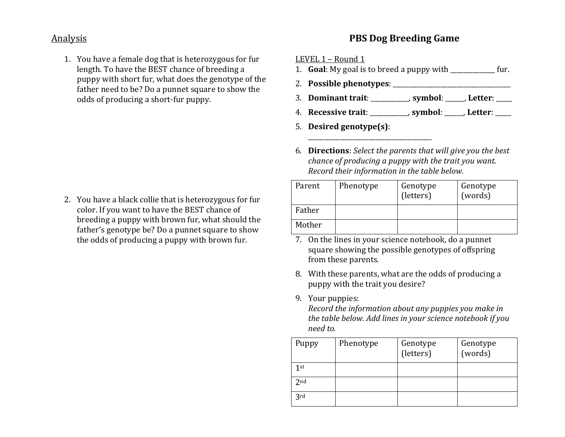## Analysis

1. You have a female dog that is heterozygous for fur length. To have the BEST chance of breeding a puppy with short fur, what does the genotype of the father need to be? Do a punnet square to show the odds of producing a short-fur puppy.

2. You have a black collie that is heterozygous for fur color. If you want to have the BEST chance of breeding a puppy with brown fur, what should the father's genotype be? Do a punnet square to show the odds of producing a puppy with brown fur.

## **PBS Dog Breeding Game**

LEVEL  $1$  – Round  $1$ 

- 1. **Goal**: My goal is to breed a puppy with \_\_\_\_\_\_\_\_\_\_\_ fur.
- 2. **Possible phenotypes**: \_\_\_\_\_\_\_\_\_\_\_\_\_\_\_\_\_\_\_\_\_\_\_\_\_\_\_\_\_\_\_\_\_\_\_\_\_
- 3. **Dominant trait:** The symbol: The symbol: The symbol:  $\overline{\phantom{a}}$ , Letter:
- 4. Recessive trait: symbol: Letter:
- 5. **Desired genotype(s)**:

\_\_\_\_\_\_\_\_\_\_\_\_\_\_\_\_\_\_\_\_\_\_\_\_\_\_\_\_\_\_\_\_\_\_\_\_\_\_\_

6. **Directions**: Select the parents that will give you the best *chance of producing a puppy with the trait you want. Record their information in the table below.* 

| Parent | Phenotype | Genotype<br>(letters) | Genotype<br>(words) |
|--------|-----------|-----------------------|---------------------|
| Father |           |                       |                     |
| Mother |           |                       |                     |

- 7. On the lines in your science notebook, do a punnet square showing the possible genotypes of offspring from these parents.
- 8. With these parents, what are the odds of producing a puppy with the trait you desire?
- 9. Your puppies:

*Record the information about any puppies you make in the table below. Add lines in your science notebook if you need to.*

| Puppy           | Phenotype | Genotype<br>(letters) | Genotype<br>(words) |
|-----------------|-----------|-----------------------|---------------------|
| 1st             |           |                       |                     |
| 2 <sub>nd</sub> |           |                       |                     |
| 3rd             |           |                       |                     |